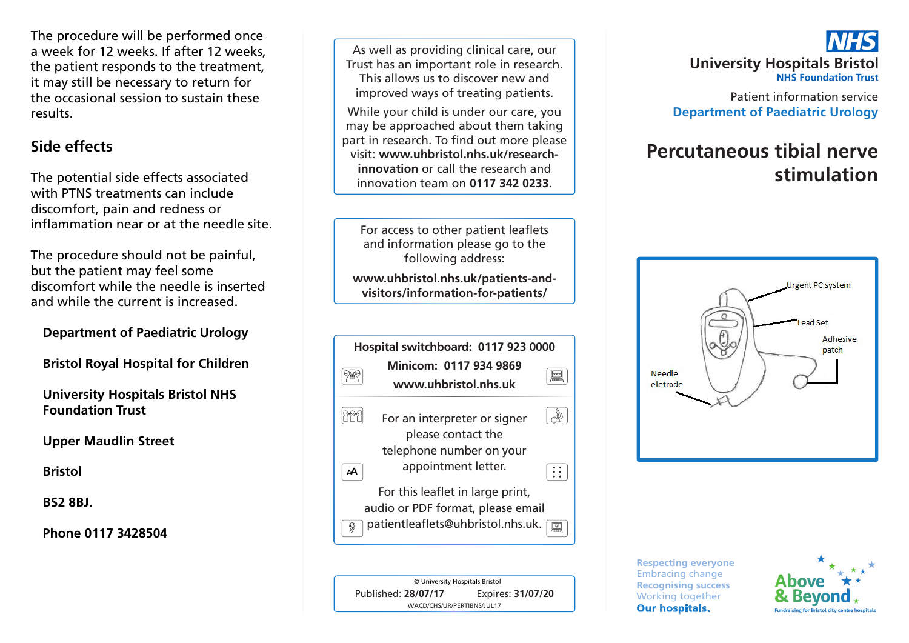The procedure will be performed once a week for 12 weeks. If after 12 weeks, the patient responds to the treatment, it may still be necessary to return for the occasional session to sustain these results.

### **Side effects**

The potential side effects associated with PTNS treatments can include discomfort, pain and redness or inflammation near or at the needle site.

The procedure should not be painful, but the patient may feel some discomfort while the needle is inserted and while the current is increased.

### **Department of Paediatric Urology**

**Bristol Royal Hospital for Children**

**University Hospitals Bristol NHS Foundation Trust**

**Upper Maudlin Street**

**Bristol**

**BS2 8BJ.**

**Phone 0117 3428504**

As well as providing clinical care, our Trust has an important role in research. This allows us to discover new and improved ways of treating patients.

While your child is under our care, you may be approached about them taking part in research. To find out more please visit: **www.uhbristol.nhs.uk/researchinnovation** or call the research and innovation team on **0117 342 0233**.

For access to other patient leaflets and information please go to the following address:

**www.uhbristol.nhs.uk/patients-andvisitors/information-for-patients/**

| Hospital switchboard: 0117 923 0000 |                                                    |  |
|-------------------------------------|----------------------------------------------------|--|
|                                     | Minicom: 0117 934 9869                             |  |
|                                     | www.uhbristol.nhs.uk                               |  |
|                                     | For an interpreter or signer<br>please contact the |  |
|                                     | telephone number on your                           |  |
| АΑ                                  | appointment letter.                                |  |
|                                     | For this leaflet in large print,                   |  |
|                                     | audio or PDF format, please email                  |  |
| D                                   | patientleaflets@uhbristol.nhs.uk.                  |  |



## **University Hospitals Bristol NHS Foundation Trust**

Patient information service **Department of Paediatric Urology** 

# **Percutaneous tibial nerve stimulation**



**Respecting everyone** Embracing change **Recognising success** Working together **Our hospitals.**